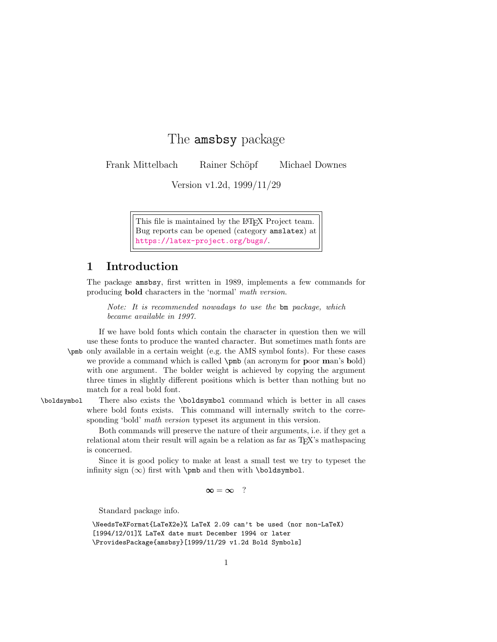## The amsbsy package

Frank Mittelbach Rainer Schöpf Michael Downes

Version v1.2d, 1999/11/29

This file is maintained by the L<sup>AT</sup>FX Project team. Bug reports can be opened (category amslatex) at <https://latex-project.org/bugs/>.

## 1 Introduction

The package amsbsy, first written in 1989, implements a few commands for producing bold characters in the 'normal' math version.

Note: It is recommended nowadays to use the bm package, which became available in 1997.

If we have bold fonts which contain the character in question then we will use these fonts to produce the wanted character. But sometimes math fonts are \pmb only available in a certain weight (e.g. the AMS symbol fonts). For these cases we provide a command which is called  $\pm$  0 (an acronym for poor man's bold) with one argument. The bolder weight is achieved by copying the argument three times in slightly different positions which is better than nothing but no match for a real bold font.

\boldsymbol There also exists the \boldsymbol command which is better in all cases where bold fonts exists. This command will internally switch to the corresponding 'bold' *math version* typeset its argument in this version.

> Both commands will preserve the nature of their arguments, i.e. if they get a relational atom their result will again be a relation as far as T<sub>E</sub>X's mathspacing is concerned.

> Since it is good policy to make at least a small test we try to typeset the infinity sign  $(\infty)$  first with \pmb and then with \boldsymbol.

> > $\infty = \infty$  ?

Standard package info.

\NeedsTeXFormat{LaTeX2e}% LaTeX 2.09 can't be used (nor non-LaTeX) [1994/12/01]% LaTeX date must December 1994 or later \ProvidesPackage{amsbsy}[1999/11/29 v1.2d Bold Symbols]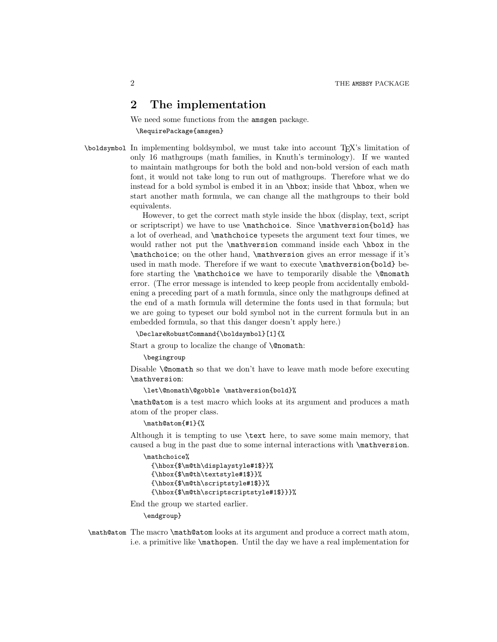## 2 The implementation

We need some functions from the amsgen package.

\RequirePackage{amsgen}

\boldsymbol In implementing boldsymbol, we must take into account TEX's limitation of only 16 mathgroups (math families, in Knuth's terminology). If we wanted to maintain mathgroups for both the bold and non-bold version of each math font, it would not take long to run out of mathgroups. Therefore what we do instead for a bold symbol is embed it in an \hbox; inside that \hbox, when we start another math formula, we can change all the mathgroups to their bold equivalents.

> However, to get the correct math style inside the hbox (display, text, script or scriptscript) we have to use \mathchoice. Since \mathversion{bold} has a lot of overhead, and \mathchoice typesets the argument text four times, we would rather not put the \mathversion command inside each \hbox in the \mathchoice; on the other hand, \mathversion gives an error message if it's used in math mode. Therefore if we want to execute \mathversion{bold} before starting the **\mathchoice** we have to temporarily disable the **\@nomath** error. (The error message is intended to keep people from accidentally emboldening a preceding part of a math formula, since only the mathgroups defined at the end of a math formula will determine the fonts used in that formula; but we are going to typeset our bold symbol not in the current formula but in an embedded formula, so that this danger doesn't apply here.)

\DeclareRobustCommand{\boldsymbol}[1]{%

Start a group to localize the change of **\@nomath:** 

\begingroup

Disable **\@nomath** so that we don't have to leave math mode before executing \mathversion:

```
\let\@nomath\@gobble \mathversion{bold}%
```
\math@atom is a test macro which looks at its argument and produces a math atom of the proper class.

\math@atom{#1}{%

Although it is tempting to use \text here, to save some main memory, that caused a bug in the past due to some internal interactions with \mathversion.

\mathchoice%

```
{\hbox{$\m@th\displaystyle#1$}}%
{\hbox{$\m@th\textstyle#1$}}%
{\hbox{$\m@th\scriptstyle#1$}}%
{\hbox{$\m@th\scriptscriptstyle#1$}}}%
```
End the group we started earlier.

\endgroup}

\math@atom The macro \math@atom looks at its argument and produce a correct math atom, i.e. a primitive like \mathopen. Until the day we have a real implementation for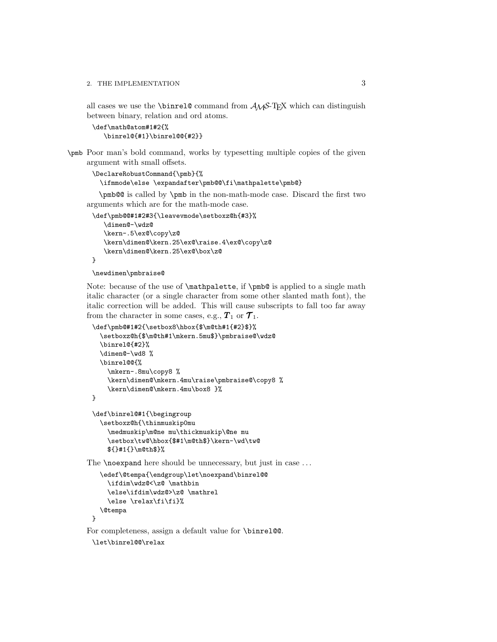all cases we use the **\binrel@** command from  $A\mathcal{M}S$ -TEX which can distinguish between binary, relation and ord atoms.

```
\def\math@atom#1#2{%
  \binrel@{#1}\binrel@@{#2}}
```
\pmb Poor man's bold command, works by typesetting multiple copies of the given argument with small offsets.

```
\DeclareRobustCommand{\pmb}{%
 \ifmmode\else \expandafter\pmb@@\fi\mathpalette\pmb@}
```
\pmb@@ is called by \pmb in the non-math-mode case. Discard the first two arguments which are for the math-mode case.

```
\def\pmb@@#1#2#3{\leavevmode\setboxz@h{#3}%
   \dimen@-\wdz@
   \kern-.5\ex@\copy\z@
   \kern\dimen@\kern.25\ex@\raise.4\ex@\copy\z@
   \kern\dimen@\kern.25\ex@\box\z@
}
```

```
\newdimen\pmbraise@
```
Note: because of the use of  $\mathcal{L}$ , if  $\phi$  is applied to a single math italic character (or a single character from some other slanted math font), the italic correction will be added. This will cause subscripts to fall too far away from the character in some cases, e.g.,  $T_1$  or  $\mathcal{T}_1$ .

```
\def\pmb@#1#2{\setbox8\hbox{$\m@th#1{#2}$}%
  \setboxz@h{$\m@th#1\mkern.5mu$}\pmbraise@\wdz@
  \binrel@{#2}%
  \dimen@-\wd8 %
  \binrel@@{%
    \mkern-.8mu\copy8 %
    \kern\dimen@\mkern.4mu\raise\pmbraise@\copy8 %
    \kern\dimen@\mkern.4mu\box8 }%
}
```

```
\def\binrel@#1{\begingroup
 \setboxz@h{\thinmuskip0mu
    \medmuskip\m@ne mu\thickmuskip\@ne mu
    \setbox\tw@\hbox{$#1\m@th$}\kern-\wd\tw@
    ${}#1{}\m@th$}%
```
The **\noexpand** here should be unnecessary, but just in case ...

```
\edef\@tempa{\endgroup\let\noexpand\binrel@@
  \ifdim\wdz@<\z@ \mathbin
  \else\ifdim\wdz@>\z@ \mathrel
  \else \relax\fi\fi}%
\@tempa
```

```
}
```
For completeness, assign a default value for \binrel@.

```
\let\binrel@@\relax
```